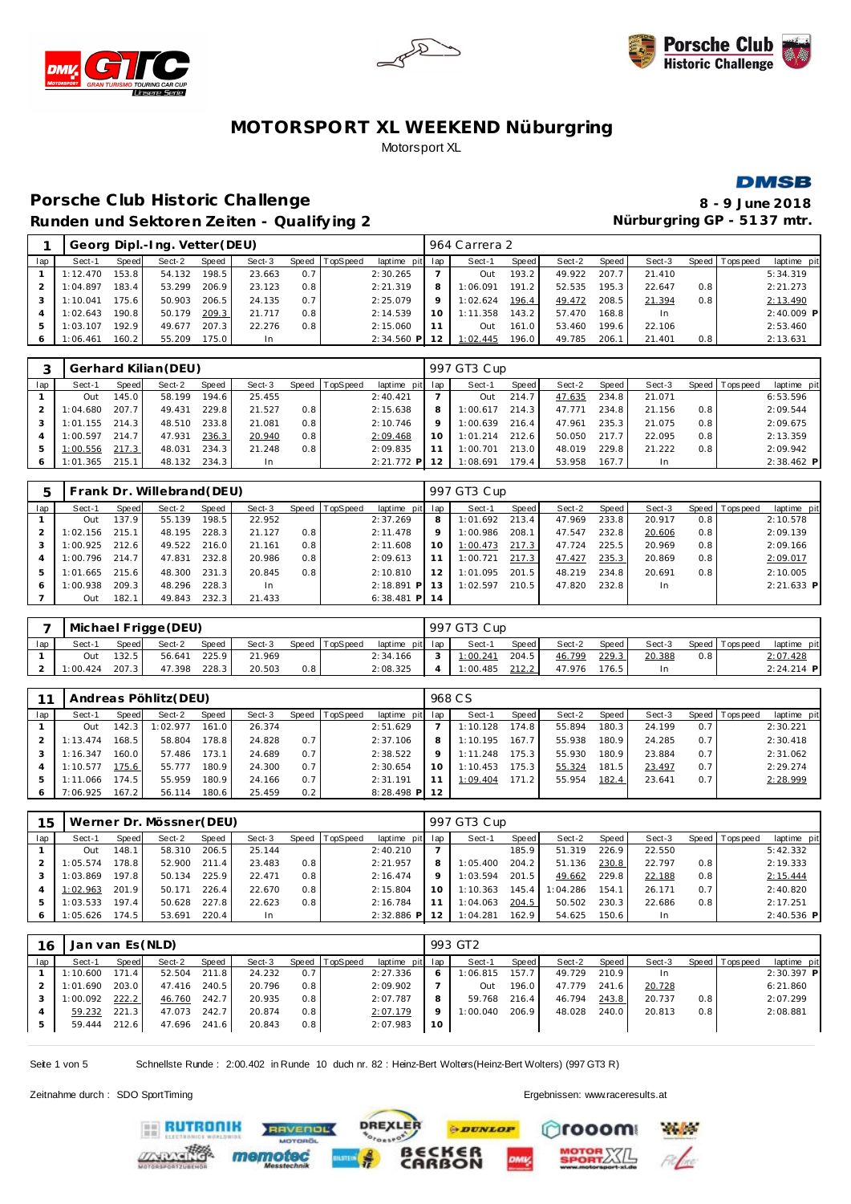





#### **DMSB**

### Porsche Club Historic Challenge **8** - 9 June 2018 **Runden und Sektoren Zeiten - Qualifying 2 Nürburgring GP - 5137 mtr.**

|     |                    |       |                               |       |        |                  | -------------  |              |          |               |        |        |         | ີ      |     |                |            |  |
|-----|--------------------|-------|-------------------------------|-------|--------|------------------|----------------|--------------|----------|---------------|--------|--------|---------|--------|-----|----------------|------------|--|
|     |                    |       | Georg Dipl.-Ing. Vetter (DEU) |       |        |                  |                |              |          | 964 Carrera 2 |        |        |         |        |     |                |            |  |
| lap | Sect-1             | Speed | Sect-2                        | Speed | Sect-3 |                  | Speed TopSpeed | laptime pit  | lap      | Sect-1        | Speed  | Sect-2 | Speed I | Sect-3 |     | Speed Topspeed | laptime pi |  |
|     | 1:12.470           | 153.8 | 54.132                        | 198.5 | 23.663 | 0.7 <sup>1</sup> |                | 2:30.265     |          | Out           | 193.2. | 49.922 | 207.7   | 21.410 |     |                | 5:34.319   |  |
|     | 2 1:04.897         | 183.4 | 53.299                        | 206.9 | 23.123 | 0.8              |                | 2:21.319     | 8        | 1:06.091      | 191.2  | 52.535 | 195.3   | 22.647 | 0.8 |                | 2:21.273   |  |
|     | $3 \mid 1:10.041$  | 175.6 | 50.903                        | 206.5 | 24.135 | 0.7 <sup>1</sup> |                | 2:25.079     | 9        | 1:02.624      | 196.4  | 49.472 | 208.5   | 21.394 | 0.8 |                | 2:13.490   |  |
|     | $4 \mid 1:02.643$  | 190.8 | 50.179                        | 209.3 | 21.717 | 0.8              |                | 2:14.539     | $10^{-}$ | 1:11.358      | 143.2  | 57.470 | 168.8   | In.    |     |                | 2:40.009 F |  |
|     | $5 \quad 1:03.107$ | 192.9 | 49.677                        | 207.3 | 22.276 | 0.8 <sub>1</sub> |                | 2:15.060     | 11       | Out           | 161.0  | 53.460 | 199.6   | 22.106 |     |                | 2:53.460   |  |
|     | $6$ 1:06.461       | 160.2 | 55.209                        | 175.0 | In     |                  |                | $2:34.560$ P | 12       | 1:02.445      | 196.0  | 49.785 | 206.1   | 21.401 | 0.8 |                | 2:13.631   |  |

|     |               |       | Gerhard Kilian (DEU) |       |        |     |                |                 | 997 GT3 Cup |       |        |       |        |     |                 |              |
|-----|---------------|-------|----------------------|-------|--------|-----|----------------|-----------------|-------------|-------|--------|-------|--------|-----|-----------------|--------------|
| lap | Sect-1        | Speed | Sect-2               | Speed | Sect-3 |     | Speed TopSpeed | laptime pit lap | Sect-1      | Speed | Sect-2 | Speed | Sect-3 |     | Speed Tops peed | laptime pit  |
|     | Out           | 145.0 | 58.199               | 194.6 | 25.455 |     |                | 2:40.421        | Out         | 214.7 | 47.635 | 234.8 | 21.071 |     |                 | 6:53.596     |
|     | 1:04.680      | 207.7 | 49.431               | 229.8 | 21.527 | 0.8 |                | 2:15.638        | 1:00.617    | 214.3 | 47.771 | 234.8 | 21.156 | 0.8 |                 | 2:09.544     |
|     | .155<br>1:01. | 214.3 | 48.510               | 233.8 | 21.081 | 0.8 |                | 2:10.746        | 1:00.639    | 216.4 | 47.961 | 235.3 | 21.075 | 0.8 |                 | 2:09.675     |
|     | 1:00.597      | 214.7 | 47.931               | 236.3 | 20.940 | 0.8 |                | 2:09.468        | 1:01.214    | 212.6 | 50.050 | 217.7 | 22.095 | 0.8 |                 | 2:13.359     |
| 5   | 1:00.556      | 217.3 | 48.031               | 234.3 | 21.248 | 0.8 |                | 2:09.835        | 1:00.701    | 213.0 | 48.019 | 229.8 | 21.222 | 0.8 |                 | 2:09.942     |
| 6   | 1:01.365      | 215.1 | 48.132               | 234.3 | In     |     |                | $2:21.772$ P    | 1:08.691    | 179.4 | 53.958 | 167.7 | In.    |     |                 | $2:38.462$ P |

| 5   |          |        | Frank Dr. Willebrand (DEU) |       |        |     |                |                 |         | 997 GT3 Cup |       |        |       |           |     |                |              |
|-----|----------|--------|----------------------------|-------|--------|-----|----------------|-----------------|---------|-------------|-------|--------|-------|-----------|-----|----------------|--------------|
| lap | Sect-1   | Speed  | Sect-2                     | Speed | Sect-3 |     | Speed TopSpeed | laptime pit lap |         | Sect-1      | Speed | Sect-2 | Speed | Sect-3    |     | Speed Topspeed | laptime pit  |
|     | Out      | 137.91 | 55.139                     | 198.5 | 22.952 |     |                | 2:37.269        | 8       | 1:01.692    | 213.4 | 47.969 | 233.8 | 20.917    | 0.8 |                | 2:10.578     |
|     | 1:02.156 | 215.1  | 48.195                     | 228.3 | 21.127 | 0.8 |                | 2:11.478        | $\circ$ | 1:00.986    | 208.1 | 47.547 | 232.8 | 20.606    | 0.8 |                | 2:09.139     |
|     | 1:00.925 | 212.6  | 49.522                     | 216.0 | 21.161 | 0.8 |                | 2:11.608        | 10      | 1:00.473    | 217.3 | 47.724 | 225.5 | 20.969    | 0.8 |                | 2:09.166     |
|     | 1:00.796 | 214.7  | 47.831                     | 232.8 | 20.986 | 0.8 |                | 2:09.613        |         | 1:00.721    | 217.3 | 47.427 | 235.3 | 20.869    | 0.8 |                | 2:09.017     |
| 5   | 1:01.665 | 215.6  | 48.300                     | 231.3 | 20.845 | 0.8 |                | 2:10.810        | 12      | 1:01.095    | 201.5 | 48.219 | 234.8 | 20.691    | 0.8 |                | 2:10.005     |
| 6   | 1:00.938 | 209.3  | 48.296                     | 228.3 | In.    |     |                | $2:18.891$ P    |         | 1:02.597    | 210.5 | 47.820 | 232.8 | <b>In</b> |     |                | $2:21.633$ P |
|     | Out      | 182.1  | 49.843                     | 232.3 | 21.433 |     |                | $6:38.481$ P    | 14      |             |       |        |       |           |     |                |              |

|     |          |       | Michael Frigge (DEU) |              |        |       |          |                 | 997 GT3 Cup |       |        |                    |        |     |                |             |
|-----|----------|-------|----------------------|--------------|--------|-------|----------|-----------------|-------------|-------|--------|--------------------|--------|-----|----------------|-------------|
| lap | Sect-1   | Speed | Sect-2               | <b>Speed</b> | Sect-3 | Speed | TopSpeed | laptime pit lap | Sect-1      | Speed | Sect-2 | Speed I            | Sect-3 |     | Speed Topspeed | laptime pit |
|     | Out      | 132.5 | 56.641               | 225.9        | 21.969 |       |          | 2:34.166        | 1:00.241    | 204.5 | 46.799 | 229.3              | 20.388 | 0.8 |                | 2:07.428    |
|     | : 00.424 | 207.3 | 47.398               | 228.3        | 20.503 | 0.8   |          | 2:08.325        | 1:00.485    | 212.2 | 47.976 | 176.5 <sub>1</sub> | In     |     |                | 2:24.214 P  |

|     |          |       | Andreas Pöhlitz (DEU) |       |        |     |                |                 |     | 968 C.S  |       |        |       |        |      |                   |             |
|-----|----------|-------|-----------------------|-------|--------|-----|----------------|-----------------|-----|----------|-------|--------|-------|--------|------|-------------------|-------------|
| lap | Sect-1   | Speed | Sect-2                | Speed | Sect-3 |     | Speed TopSpeed | laptime pit     | lap | Sect-1   | Speed | Sect-2 | Speed | Sect-3 |      | Speed   Tops peed | laptime pit |
|     | Out      | 142.3 | 1:02.977              | 161.0 | 26.374 |     |                | 2:51.629        |     | 1:10.128 | 174.8 | 55.894 | 180.3 | 24.199 | 0.71 |                   | 2:30.221    |
|     | 1:13.474 | 168.5 | 58.804                | 178.8 | 24.828 | 0.7 |                | 2:37.106        | 8   | 1:10.195 | 167.7 | 55.938 | 180.9 | 24.285 | 0.7  |                   | 2:30.418    |
|     | 1:16.347 | 160.0 | 57.486                | 173.1 | 24.689 | 0.7 |                | 2:38.522        | Q   | 1:11.248 | 175.3 | 55.930 | 180.9 | 23.884 | 0.7  |                   | 2:31.062    |
|     | 1:10.577 | 175.6 | 55.777                | 180.9 | 24.300 | 0.7 |                | 2:30.654        | 10  | 1:10.453 | 175.3 | 55.324 | 181.5 | 23.497 | 0.7  |                   | 2:29.274    |
|     | 1:11.066 | 174.5 | 55.959                | 180.9 | 24.166 | 0.7 |                | 2:31.191        |     | 1:09.404 | 171.2 | 55.954 | 182.4 | 23.641 | 0.7  |                   | 2:28.999    |
|     | 7:06.925 | 167.2 | 56.114                | 180.6 | 25.459 | 0.2 |                | $8:28.498$ P 12 |     |          |       |        |       |        |      |                   |             |

| 15  |          |       | Werner Dr. Mössner (DEU) |       |        |     |                |                 |     | 997 GT3 Cup |       |          |       |        |                  |                 |              |
|-----|----------|-------|--------------------------|-------|--------|-----|----------------|-----------------|-----|-------------|-------|----------|-------|--------|------------------|-----------------|--------------|
| lap | Sect-1   | Speed | Sect-2                   | Speed | Sect-3 |     | Speed TopSpeed | laptime pit lap |     | Sect-1      | Speed | Sect-2   | Speed | Sect-3 |                  | Speed Tops peed | laptime pit  |
|     | Out      | 148.1 | 58.310                   | 206.5 | 25.144 |     |                | 2:40.210        |     |             | 185.9 | 51.319   | 226.9 | 22.550 |                  |                 | 5:42.332     |
|     | :05.574  | 178.8 | 52.900                   | 211.4 | 23.483 | 0.8 |                | 2:21.957        | 8   | 1:05.400    | 204.2 | 51.136   | 230.8 | 22.797 | 0.8              |                 | 2:19.333     |
|     | 1:03.869 | 197.8 | 50.134                   | 225.9 | 22.471 | 0.8 |                | 2:16.474        |     | 1:03.594    | 201.5 | 49.662   | 229.8 | 22.188 | 0.8              |                 | 2:15.444     |
|     | 1:02.963 | 201.9 | 50.171                   | 226.4 | 22.670 | 0.8 |                | 2:15.804        | 1 ດ | 1:10.363    | 145.4 | 1:04.286 | 154.1 | 26.171 | 0.7              |                 | 2:40.820     |
|     | : 03.533 | 197.4 | 50.628                   | 227.8 | 22.623 | 0.8 |                | 2:16.784        |     | 1:04.063    | 204.5 | 50.502   | 230.3 | 22.686 | 0.8 <sub>1</sub> |                 | 2:17.251     |
| 6   | 1:05.626 | 174.5 | 53.691                   | 220.4 | -In    |     |                | $2:32.886$ P    |     | 1:04.281    | 162.9 | 54.625   | 150.6 | In     |                  |                 | $2:40.536$ P |

| 16  | Jan van Es (NLD) |       |              |       |        |     |                |             |         | 993 GT2  |       |        |       |           |     |                 |             |
|-----|------------------|-------|--------------|-------|--------|-----|----------------|-------------|---------|----------|-------|--------|-------|-----------|-----|-----------------|-------------|
| lap | Sect-1           | Speed | Sect-2       | Speed | Sect-3 |     | Speed TopSpeed | laptime pit | lap     | Sect-1   | Speed | Sect-2 | Speed | Sect-3    |     | Speed Tops peed | laptime pit |
|     | 1:10.600         | 171.4 | 52.504       | 211.8 | 24.232 | 0.7 |                | 2:27.336    | O       | 1:06.815 | 157.7 | 49.729 | 210.9 | <b>In</b> |     |                 | 2:30.397 P  |
|     | 1:01.690         | 203.0 | 47.416       | 240.5 | 20.796 | 0.8 |                | 2:09.902    |         | Out      | 196.0 | 47.779 | 241.6 | 20.728    |     |                 | 6:21.860    |
|     | 1:00.092         | 222.2 | 46.760       | 242.7 | 20.935 | 0.8 |                | 2:07.787    | 8       | 59.768   | 216.4 | 46.794 | 243.8 | 20.737    | 0.8 |                 | 2:07.299    |
|     | 59.232           | 221.3 | 47.073       | 242.7 | 20.874 | 0.8 |                | 2:07.179    | $\circ$ | 1:00.040 | 206.9 | 48.028 | 240.0 | 20.813    | 0.8 |                 | 2:08.881    |
|     | 59.444           | 212.6 | 47.696 241.6 |       | 20.843 | 0.8 |                | 2:07.983    | 10      |          |       |        |       |           |     |                 |             |
|     |                  |       |              |       |        |     |                |             |         |          |       |        |       |           |     |                 |             |

Seite 1 von 5 Schnellste Runde : 2:00.402 in Runde 10 duch nr. 82 : Heinz-Bert Wolters(Heinz-Bert Wolters) (997 GT3 R)

Zeitnahme durch : SDO SportTiming extensive that the state of the state of the state of the Ergebnissen: [www.raceresults.a](www.raceresults.at)t

目前

**RUTRONIK** 



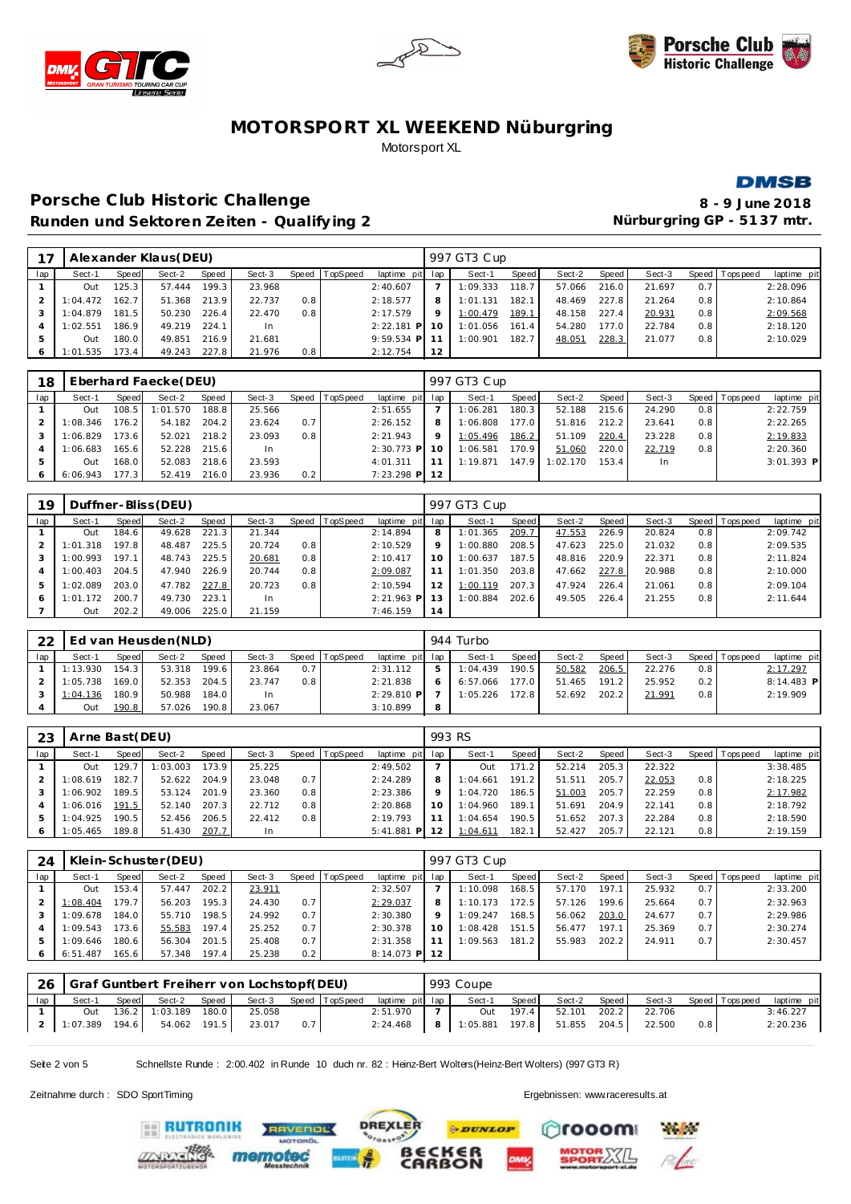







Porsche Club Historic Challenge **8** - 9 June 2018 Runden und Sektoren Zeiten - Qualifying 2 **Nürburgring GP - 5137 mtr.** 

|     |          |       | Alexander Klaus (DEU) |       |           |       |          |                 |         | 997 GT3 Cup |       |        |       |        |     |                |             |
|-----|----------|-------|-----------------------|-------|-----------|-------|----------|-----------------|---------|-------------|-------|--------|-------|--------|-----|----------------|-------------|
| lap | Sect-1   | Speed | Sect-2                | Speed | Sect-3    | Speed | TopSpeed | laptime pit lap |         | Sect-1      | Speed | Sect-2 | Speed | Sect-3 |     | Speed Topspeed | laptime pit |
|     | Out      | 125.3 | 57.444                | 199.3 | 23.968    |       |          | 2:40.607        |         | 1:09.333    | 118.7 | 57.066 | 216.0 | 21.697 | 0.7 |                | 2:28.096    |
|     | 1:04.472 | 162.7 | 51.368                | 213.9 | 22.737    | 0.8   |          | 2:18.577        | 8       | 1:01.131    | 182.1 | 48.469 | 227.8 | 21.264 | 0.8 |                | 2:10.864    |
|     | 1:04.879 | 181.5 | 50.230                | 226.4 | 22.470    | 0.8   |          | 2:17.579        | $\circ$ | 1:00.479    | 189.1 | 48.158 | 227.4 | 20.931 | 0.8 |                | 2:09.568    |
|     | 1:02.551 | 186.9 | 49.219                | 224.1 | <b>In</b> |       |          | $2:22.181$ P    |         | 1:01.056    | 161.4 | 54.280 | 177.0 | 22.784 | 0.8 |                | 2:18.120    |
| 5   | Out      | 180.0 | 49.851                | 216.9 | 21.681    |       |          | $9:59.534$ P    |         | 1:00.901    | 182.7 | 48.051 | 228.3 | 21.077 | 0.8 |                | 2:10.029    |
| 6   | : 01.535 | 73.4  | 49.243                | 227.8 | 21.976    | 0.8   |          | 2:12.754        | 12      |             |       |        |       |        |     |                |             |

| 18  |          |       | Eberhard Faecke (DEU) |       |        |     |                |                 |   | 997 GT3 Cup |                   |          |       |        |                  |                |              |
|-----|----------|-------|-----------------------|-------|--------|-----|----------------|-----------------|---|-------------|-------------------|----------|-------|--------|------------------|----------------|--------------|
| lap | Sect-1   | Speed | Sect-2                | Speed | Sect-3 |     | Speed TopSpeed | laptime pit lap |   | Sect-1      | Speed             | Sect-2   | Speed | Sect-3 |                  | Speed Topspeed | laptime pit  |
|     | Out      | 108.5 | 1:01.570              | 188.8 | 25.566 |     |                | 2:51.655        |   | 1:06.281    | $180.3 \text{ m}$ | 52.188   | 215.6 | 24.290 | 0.8              |                | 2:22.759     |
|     | :08.346  | 176.2 | 54.182                | 204.2 | 23.624 | 0.7 |                | 2:26.152        | 8 | 1:06.808    | 177.0             | 51.816   | 212.2 | 23.641 | 0.8              |                | 2:22.265     |
|     | 1:06.829 | 173.6 | 52.021                | 218.2 | 23.093 | 0.8 |                | 2:21.943        |   | 1:05.496    | 186.2             | 51.109   | 220.4 | 23.228 | 0.8 <sub>1</sub> |                | 2:19.833     |
|     | :06.683  | 165.6 | 52.228                | 215.6 | -In    |     |                | 2:30.773 P 10   |   | 1:06.581    | 170.9             | 51.060   | 220.0 | 22.719 | 0.8 <sub>1</sub> |                | 2:20.360     |
|     | Out      | 168.0 | 52.083                | 218.6 | 23.593 |     |                | 4:01.311        |   | 1:19.871    | 147.9             | 1:02.170 | 153.4 | In.    |                  |                | $3:01.393$ P |
| 6   | 6:06.943 | 177.3 | 52.419                | 216.0 | 23.936 | 0.2 |                | 7:23.298 P 12   |   |             |                   |          |       |        |                  |                |              |

| 19  |          |       | Duffner-Bliss (DEU) |       |        |       |          |              |     | 997 GT3 Cup |       |        |       |        |     |                 |             |
|-----|----------|-------|---------------------|-------|--------|-------|----------|--------------|-----|-------------|-------|--------|-------|--------|-----|-----------------|-------------|
| lap | Sect-1   | Speed | Sect-2              | Speed | Sect-3 | Speed | TopSpeed | laptime pit  | lap | Sect-1      | Speed | Sect-2 | Speed | Sect-3 |     | Speed Tops peed | laptime pit |
|     | Out      | 184.6 | 49.628              | 221.3 | 21.344 |       |          | 2:14.894     | 8   | 1:01.365    | 209.7 | 47.553 | 226.9 | 20.824 | 0.8 |                 | 2:09.742    |
|     | 1:01.318 | 197.8 | 48.487              | 225.5 | 20.724 | 0.8   |          | 2:10.529     | 9   | 1:00.880    | 208.5 | 47.623 | 225.0 | 21.032 | 0.8 |                 | 2:09.535    |
|     | 1:00.993 | 197.1 | 48.743              | 225.5 | 20.681 | 0.8   |          | 2:10.417     |     | 1:00.637    | 187.5 | 48.816 | 220.9 | 22.371 | 0.8 |                 | 2:11.824    |
|     | 1:00.403 | 204.5 | 47.940              | 226.9 | 20.744 | 0.8   |          | 2:09.087     |     | 1:01.350    | 203.8 | 47.662 | 227.8 | 20.988 | 0.8 |                 | 2:10.000    |
|     | 1:02.089 | 203.0 | 47.782              | 227.8 | 20.723 | 0.8   |          | 2:10.594     |     | 1:00.119    | 207.3 | 47.924 | 226.4 | 21.061 | 0.8 |                 | 2:09.104    |
| 6   | 1:01.172 | 200.7 | 49.730              | 223.1 | In     |       |          | $2:21.963$ P |     | 1:00.884    | 202.6 | 49.505 | 226.4 | 21.255 | 0.8 |                 | 2:11.644    |
|     | Out      | 202.2 | 49.006              | 225.0 | 21.159 |       |          | 7:46.159     | 14  |             |       |        |       |        |     |                 |             |

| 22  |          |       | Ed van Heusden (NLD) |              |        |       |                 |                 | 944 Turbo |       |        |         |        |     |                |              |
|-----|----------|-------|----------------------|--------------|--------|-------|-----------------|-----------------|-----------|-------|--------|---------|--------|-----|----------------|--------------|
| lap | Sect-1   | Speed | Sect-2               | <b>Speed</b> | Sect-3 | Speed | <b>TopSpeed</b> | laptime pit lap | Sect-1    | Speed | Sect-2 | Speed I | Sect-3 |     | Speed Topspeed | laptime pit  |
|     | 1:13.930 | 154.3 | 53.318               | 199.6        | 23.864 | 0.7   |                 | 2:31.112        | 1:04.439  | 190.5 | 50.582 | 206.5   | 22.276 | 0.8 |                | 2:17.297     |
|     | : 05.738 | 169.0 | 52.353               | 204.5        | 23.747 | 0.8   |                 | 2:21.838        | 6:57.066  | 177.0 | 51.465 | 191.2   | 25.952 | 0.2 |                | $8:14.483$ P |
|     | 1:04.136 | 180.9 | 50.988               | 184.0        | -In    |       |                 | $2:29.810$ P    | 1:05.226  | 172.8 | 52.692 | 202.2   | 21.991 | 0.8 |                | 2:19.909     |
|     | Out      | 190.8 | 57.026               | 190.8        | 23.067 |       |                 | 3:10.899        |           |       |        |         |        |     |                |              |

| 23  | Arne Bast (DEU) |       |          |       |        |     |                |                 |         | 993 RS     |       |        |       |        |      |                |             |
|-----|-----------------|-------|----------|-------|--------|-----|----------------|-----------------|---------|------------|-------|--------|-------|--------|------|----------------|-------------|
| lap | Sect-1          | Speed | Sect-2   | Speed | Sect-3 |     | Speed TopSpeed | laptime pit lap |         | Sect-1     | Speed | Sect-2 | Speed | Sect-3 |      | Speed Topspeed | laptime pit |
|     | Out             | 129.7 | 1:03.003 | 173.9 | 25.225 |     |                | 2:49.502        |         | <b>Out</b> | 171.2 | 52.214 | 205.3 | 22.322 |      |                | 3:38.485    |
|     | 1:08.619        | 182.7 | 52.622   | 204.9 | 23.048 | 0.7 |                | 2:24.289        |         | 1:04.661   | 191.2 | 51.511 | 205.7 | 22.053 | 0.8  |                | 2:18.225    |
|     | 1:06.902        | 189.5 | 53.124   | 201.9 | 23.360 | 0.8 |                | 2:23.386        | $\circ$ | 1:04.720   | 186.5 | 51.003 | 205.7 | 22.259 | 0.8  |                | 2:17.982    |
|     | 1:06.016        | 191.5 | 52.140   | 207.3 | 22.712 | 0.8 |                | 2:20.868        | 10      | 1:04.960   | 189.1 | 51.691 | 204.9 | 22.141 | 0.8  |                | 2:18.792    |
|     | 1:04.925        | 190.5 | 52.456   | 206.5 | 22.412 | 0.8 |                | 2:19.793        |         | 1:04.654   | 190.5 | 51.652 | 207.3 | 22.284 | 0.81 |                | 2:18.590    |
|     | 1:05.465        | 189.8 | 51.430   | 207.7 | -In    |     |                | $5:41.881$ P    |         | 1:04.611   | 182.1 | 52.427 | 205.7 | 22.121 | 0.8  |                | 2:19.159    |

| 24  |          |        | Klein-Schuster (DEU) |       |        |     |                |                 |         | 997 GT3 Cup |       |        |                    |        |                  |                 |             |
|-----|----------|--------|----------------------|-------|--------|-----|----------------|-----------------|---------|-------------|-------|--------|--------------------|--------|------------------|-----------------|-------------|
| lap | Sect-1   | Speed  | Sect-2               | Speed | Sect-3 |     | Speed TopSpeed | laptime pit lap |         | Sect-1      | Speed | Sect-2 | Speed              | Sect-3 |                  | Speed Tops peed | laptime pit |
|     | Out      | 153.4  | 57.447               | 202.2 | 23.911 |     |                | 2:32.507        |         | 1:10.098    | 168.5 | 57.170 | 197.1              | 25.932 | 0.7              |                 | 2:33.200    |
|     | :08.404  | 179.71 | 56.203               | 195.3 | 24.430 | 0.7 |                | 2:29.037        | 8       | 1:10.173    | 172.5 | 57.126 | 199.6 <sub>1</sub> | 25.664 | 0.7              |                 | 2:32.963    |
|     | :09.678  | 184.0  | 55.710               | 198.5 | 24.992 | 0.7 |                | 2:30.380        | $\circ$ | 1:09.247    | 168.5 | 56.062 | 203.0              | 24.677 | 0.7 <sup>1</sup> |                 | 2:29.986    |
|     | : 09.543 | 173.6  | 55.583               | 197.4 | 25.252 | 0.7 |                | 2:30.378        | 10      | 1:08.428    | 151.5 | 56.477 | 197.1              | 25.369 | 0.7              |                 | 2:30.274    |
|     | : 09.646 | 180.6  | 56.304               | 201.5 | 25.408 | 0.7 |                | 2:31.358        |         | 1:09.563    | 181.2 | 55.983 | 202.2              | 24.911 | 0.7              |                 | 2:30.457    |
| 6   | 6:51.487 | 165.6  | 57.348               | 197.4 | 25.238 | 0.2 |                | $8:14.073$ P 12 |         |             |       |        |                    |        |                  |                 |             |

|     |                  |                      | 26   Graf Guntbert Freiherr von Lochstopf(DEU) |     |                                               |                | 993 Coupe |       |                        |                                    |     |             |
|-----|------------------|----------------------|------------------------------------------------|-----|-----------------------------------------------|----------------|-----------|-------|------------------------|------------------------------------|-----|-------------|
| lap | Sect-1           | Speed Sect-2 Speed   | Sect-3 Speed TopSpeed                          |     | laptime pit lap                               |                | Sect-1    | Speed |                        | Sect-2 Speed Sect-3 Speed Topspeed |     | laptime pit |
|     | Out              | 136.2 1:03.189 180.0 | 25.058                                         |     | 2:51.970                                      | 7 <sup>7</sup> |           |       | Out 197.4 52.101 202.2 | 22.706                             |     | 3:46.227    |
|     | 2 1:07.389 194.6 | 54.062 191.5         | 23.017                                         | 0.7 | 2:24.468 8 1:05.881 197.8 51.855 204.5 22.500 |                |           |       |                        |                                    | 0.8 | 2:20.236    |

Seite 2 von 5 Schnellste Runde : 2:00.402 in Runde 10 duch nr. 82 : Heinz-Bert Wolters(Heinz-Bert Wolters) (997 GT3 R)

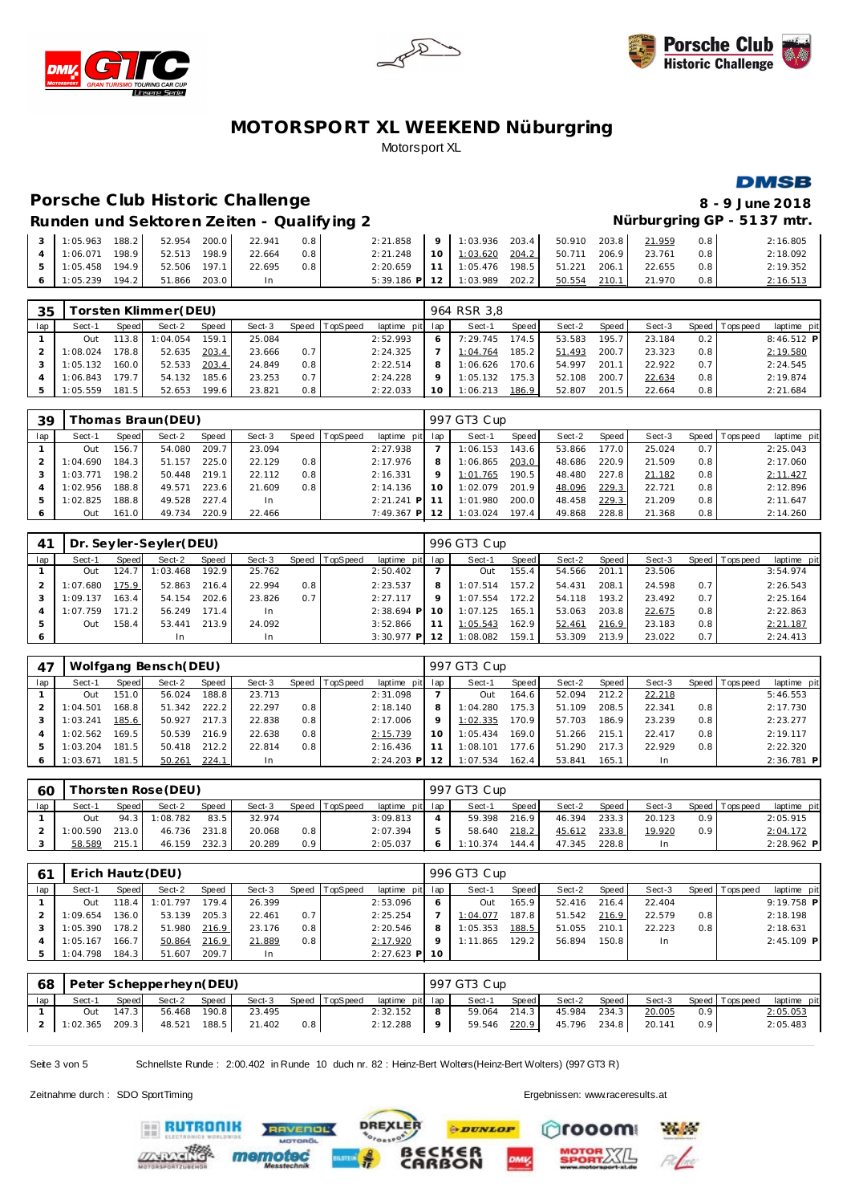





## Porsche Club Historic Challenge **8** - 9 June 2018

# **DMSB**

## Runden und Sektoren Zeiten - Qualifying 2 **Nürburgring GP - 5137 mtr.**

| 3 1:05.963 188.2 52.954 200.0 22.941 |              |        | 0.8 | 2:21.858                                               | 9 1:03.936 203.4 50.910 203.8 |  | 21.959 | 0.8 | 2:16.805 |
|--------------------------------------|--------------|--------|-----|--------------------------------------------------------|-------------------------------|--|--------|-----|----------|
| 4 1:06.071 198.9                     | 52.513 198.9 | 22.664 | 0.8 | $2:21.248$   10   $1:03.620$ 204.2   50.711 206.9      |                               |  | 23.761 |     | 2:18.092 |
| 5 1:05.458 194.9 52.506 197.1        |              | 22.695 | 0.8 | 2:20.659   11   1:05.476 198.5   51.221 206.1   22.655 |                               |  |        | 0.8 | 2:19.352 |
| 6 1:05.239 194.2 51.866 203.0        |              |        |     | 5:39.186 P 12 1:03.989 202.2 50.554 210.1              |                               |  | 21.970 |     | 2:16.513 |

| 35  |          |       | [orsten Klimmer(DEU) |              |        |       |                 |             |     | 964 RSR 3.8 |       |        |       |        |     |                 |              |
|-----|----------|-------|----------------------|--------------|--------|-------|-----------------|-------------|-----|-------------|-------|--------|-------|--------|-----|-----------------|--------------|
| lap | Sect-1   | Speed | Sect-2               | <b>Speed</b> | Sect-3 | Speed | <b>TopSpeed</b> | laptime pit | lap | Sect-1      | Speed | Sect-2 | Speed | Sect-3 |     | Speed Tops peed | laptime pit  |
|     | Out      | 13.8  | 1:04.054             | 159.1        | 25.084 |       |                 | 2:52.993    |     | 7:29.745    | 174.5 | 53.583 | 195.7 | 23.184 | 0.2 |                 | $8:46.512$ P |
|     | 1:08.024 | 178.8 | 52.635               | 203.4        | 23.666 | 0.7   |                 | 2:24.325    |     | 1:04.764    | 185.2 | 51.493 | 200.7 | 23.323 | 0.8 |                 | 2:19.580     |
|     | 1:05.132 | 160.0 | 52.533               | 203.4        | 24.849 | 0.8   |                 | 2:22.514    | 8   | 1:06.626    | 170.6 | 54.997 | 201.  | 22.922 | 0.7 |                 | 2:24.545     |
|     | 1:06.843 | '79.7 | 54.132               | 185.6        | 23.253 | 0.7   |                 | 2:24.228    |     | 1:05.132    | 175.3 | 52.108 | 200.7 | 22.634 | 0.8 |                 | 2:19.874     |
|     | 1:05.559 | 181.5 | 52.653               | 199.6        | 23.821 | 0.8   |                 | 2:22.033    |     | 1:06.213    | 186.9 | 52.807 | 201.5 | 22.664 | 0.8 |                 | 2:21.684     |

| 39  |          |       | homas Braun (DEU) |       |        |         |                 |               |     | 997 GT3 Cup |       |        |       |        |                  |                 |             |
|-----|----------|-------|-------------------|-------|--------|---------|-----------------|---------------|-----|-------------|-------|--------|-------|--------|------------------|-----------------|-------------|
| lap | Sect-1   | Speed | Sect-2            | Speed | Sect-3 | Speed T | <b>TopSpeed</b> | laptime pit   | lap | Sect-1      | Speed | Sect-2 | Speed | Sect-3 |                  | Speed Tops peed | laptime pit |
|     | Out      | 156.7 | 54.080            | 209.7 | 23.094 |         |                 | 2:27.938      |     | 1:06.153    | 143.6 | 53.866 | 177.0 | 25.024 | 0.7              |                 | 2:25.043    |
|     | 1:04.690 | 184.3 | 51.157            | 225.0 | 22.129 | 0.8     |                 | 2:17.976      |     | 1:06.865    | 203.0 | 48.686 | 220.9 | 21.509 | 0.8 <sub>1</sub> |                 | 2:17.060    |
|     | : 03.771 | 198.2 | 50.448            | 219.1 | 22.112 | 0.8     |                 | 2:16.331      |     | 1:01.765    | 190.5 | 48.480 | 227.8 | 21.182 | 0.8              |                 | 2:11.427    |
|     | :02.956  | 188.8 | 49.571            | 223.6 | 21.609 | 0.8     |                 | 2:14.136      | 10  | 1:02.079    | 201.9 | 48.096 | 229.3 | 22.721 | 0.8              |                 | 2:12.896    |
| -5  | :02.825  | 188.8 | 49.528            | 227.4 | In     |         |                 | $2:21.241$ P  |     | 1:01.980    | 200.0 | 48.458 | 229.3 | 21.209 | 0.8              |                 | 2:11.647    |
| 6   | Out      | 161.0 | 49.734            | 220.9 | 22.466 |         |                 | $7:49.367$ PL |     | 1:03.024    | 197.4 | 49.868 | 228.8 | 21.368 | 0.8              |                 | 2:14.260    |

| $4^1$ |              |       | Dr. Seyler-Seyler(DEU) |       |        |       |          |                 |         | 996 GT3 Cup |         |        |       |        |     |                |             |
|-------|--------------|-------|------------------------|-------|--------|-------|----------|-----------------|---------|-------------|---------|--------|-------|--------|-----|----------------|-------------|
| lap   | Sect-1       | Speed | Sect-2                 | Speed | Sect-3 | Speed | TopSpeed | laptime pit lap |         | Sect-1      | Speed I | Sect-2 | Speed | Sect-3 |     | Speed Topspeed | laptime pit |
|       | Out          | 124.  | 1:03.468               | 192.9 | 25.762 |       |          | 2:50.402        |         | Out         | 155.4   | 54.566 | 201.1 | 23.506 |     |                | 3:54.974    |
|       | :07.680      | 175.9 | 52.863                 | 216.4 | 22.994 | 0.8   |          | 2:23.537        | 8       | 1:07.514    | 157.2   | 54.431 | 208.1 | 24.598 | 0.7 |                | 2:26.543    |
|       | : 09.137     | 163.4 | 54.154                 | 202.6 | 23.826 | 0.7   |          | 2:27.117        | $\circ$ | 1:07.554    | 172.2   | 54.118 | 193.2 | 23.492 | 0.7 |                | 2:25.164    |
|       | .759<br>: 07 | 171.2 | 56.249                 | 171.4 | In.    |       |          | $2:38.694$ P    |         | 1:07.125    | 165.1   | 53.063 | 203.8 | 22.675 | 0.8 |                | 2:22.863    |
|       | Out          | 158.4 | 53.441                 | 213.9 | 24.092 |       |          | 3:52.866        |         | 1:05.543    | 162.9   | 52.461 | 216.9 | 23.183 | 0.8 |                | 2:21.187    |
| 6     |              |       | In.                    |       | In.    |       |          | $3:30.977$ P    |         | 1:08.082    | 159.1   | 53.309 | 213.9 | 23.022 | 0.7 |                | 2:24.413    |

| 47  |          |       | Wolfgang Bensch(DEU) |       |        |     |                |              |         | 997 GT3 Cup |       |        |       |        |     |                 |             |
|-----|----------|-------|----------------------|-------|--------|-----|----------------|--------------|---------|-------------|-------|--------|-------|--------|-----|-----------------|-------------|
| lap | Sect-1   | Speed | Sect-2               | Speed | Sect-3 |     | Speed TopSpeed | laptime pit  | lap     | Sect-1      | Speed | Sect-2 | Speed | Sect-3 |     | Speed Tops peed | laptime pit |
|     | Out      | 151.0 | 56.024               | 188.8 | 23.713 |     |                | 2:31.098     |         | Out         | 164.6 | 52.094 | 212.2 | 22.218 |     |                 | 5:46.553    |
|     | :04.501  | 168.8 | 51.342               | 222.2 | 22.297 | 0.8 |                | 2:18.140     | 8       | 1:04.280    | 175.3 | 51.109 | 208.5 | 22.341 | 0.8 |                 | 2:17.730    |
|     | : 03.241 | 185.6 | 50.927               | 217.3 | 22.838 | 0.8 |                | 2:17.006     | $\circ$ | 1:02.335    | 170.9 | 57.703 | 186.9 | 23.239 | 0.8 |                 | 2:23.277    |
|     | : 02.562 | 169.5 | 50.539               | 216.9 | 22.638 | 0.8 |                | 2:15.739     | 10      | 1:05.434    | 169.0 | 51.266 | 215.1 | 22.417 | 0.8 |                 | 2:19.117    |
| 5   | : 03.204 | 181.5 | 50.418               | 212.2 | 22.814 | 0.8 |                | 2:16.436     |         | 1:08.101    | 177.6 | 51.290 | 217.3 | 22.929 | 0.8 |                 | 2:22.320    |
| 6   | 1:03.671 | 181.5 | 50.261               | 224.1 | In     |     |                | $2:24.203$ P | 12      | 1:07.534    | 162.4 | 53.841 | 165.1 | In.    |     |                 | 2:36.781 P  |

| 60  |         |        | Thorsten Rose (DEU) |       |        |                  |                |                 | 997 GT3 Cup |              |        |       |        |                  |                 |             |
|-----|---------|--------|---------------------|-------|--------|------------------|----------------|-----------------|-------------|--------------|--------|-------|--------|------------------|-----------------|-------------|
| lap | Sect-1  | Speedl | Sect-2              | Speed | Sect-3 |                  | Speed TopSpeed | laptime pit lap | Sect-1      | <b>Speed</b> | Sect-2 | Speed | Sect-3 |                  | Speed Tops peed | laptime pit |
|     | Out     | 94.3   | 1:08.782            | 83.5  | 32.974 |                  |                | 3:09.813        | 59.398      | 216.9        | 46.394 | 233.3 | 20.123 | 0.9 <sup>°</sup> |                 | 2:05.915    |
|     | :00.590 | 213.0  | 46.736              | 231.8 | 20.068 | 0.8              |                | 2:07.394        | 58.640      | 218.2        | 45.612 | 233.8 | 19.920 | 0.9 <sup>°</sup> |                 | 2:04.172    |
|     | 58.589  |        | 46.159              | 232.3 | 20.289 | 0.9 <sup>°</sup> |                | 2:05.037        |             | 144.4        | 47.345 | 228.8 | In.    |                  |                 | 2:28.962 P  |

| 6 <sup>1</sup> |          |                    | Erich Hautz (DEU) |              |        |     |                |                 |   | 996 GT3 Cup |       |        |       |        |                  |                |              |
|----------------|----------|--------------------|-------------------|--------------|--------|-----|----------------|-----------------|---|-------------|-------|--------|-------|--------|------------------|----------------|--------------|
| lap            | Sect-1   | Speed              | Sect-2            | <b>Speed</b> | Sect-3 |     | Speed TopSpeed | laptime pit lap |   | Sect-1      | Speed | Sect-2 | Speed | Sect-3 |                  | Speed Topspeed | laptime pit  |
|                | Out      | 118.4              | 1:01.797          | 179.4        | 26.399 |     |                | 2:53.096        |   | 1uO         | 165.9 | 52.416 | 216.4 | 22.404 |                  |                | $9:19.758$ P |
|                | :09.654  | 136.O I            | 53.139            | 205.3        | 22.461 | 0.7 |                | 2:25.254        |   | 1:04.077    | 187.8 | 51.542 | 216.9 | 22.579 | 0.8              |                | 2:18.198     |
|                | 1:05.390 | 178.2 <sub>1</sub> | 51.980            | 216.9        | 23.176 | 0.8 |                | 2:20.546        | 8 | 1:05.353    | 188.5 | 51.055 | 210.1 | 22.223 | 0.8 <sub>1</sub> |                | 2:18.631     |
|                | : 05.167 | 166.7              | 50.864            | 216.9        | 21.889 | 0.8 |                | 2:17.920        |   | 1:11.865    | 129.2 | 56.894 | 150.8 | In.    |                  |                | $2:45.109$ P |
|                | 1:04.798 | 184.3              | 51.607            | 209.7        | In     |     |                | $2:27.623$ P 10 |   |             |       |        |       |        |                  |                |              |

|     | 68   Peter Schepperheyn(DEU) |       |              |       |        |     |                |                 |     | 997 GT3 Cup  |       |              |       |        |                  |                |             |
|-----|------------------------------|-------|--------------|-------|--------|-----|----------------|-----------------|-----|--------------|-------|--------------|-------|--------|------------------|----------------|-------------|
| lap | Sect-1                       | Speed | Sect-2       | Speed | Sect-3 |     | Speed TopSpeed | laptime pit lap |     | Sect-1       | Speed | Sect-2       | Speed | Sect-3 |                  | Speed Topspeed | laptime pit |
|     | Out                          | 147.3 | 56.468       | 190.8 | 23.495 |     |                | 2:32.152        | 8   | 59.064 214.3 |       | 45.984       | 234.3 | 20.005 | 0.9              |                | 2:05.053    |
|     | $1:02.365$ 209.3             |       | 48.521 188.5 |       | 21.402 | 0.8 |                | 2:12.288        | - 9 | 59.546 220.9 |       | 45.796 234.8 |       | 20.141 | 0.9 <sup>1</sup> |                | 2:05.483    |

Seite 3 von 5 Schnellste Runde : 2:00.402 in Runde 10 duch nr. 82 : Heinz-Bert Wolters(Heinz-Bert Wolters) (997 GT3 R)

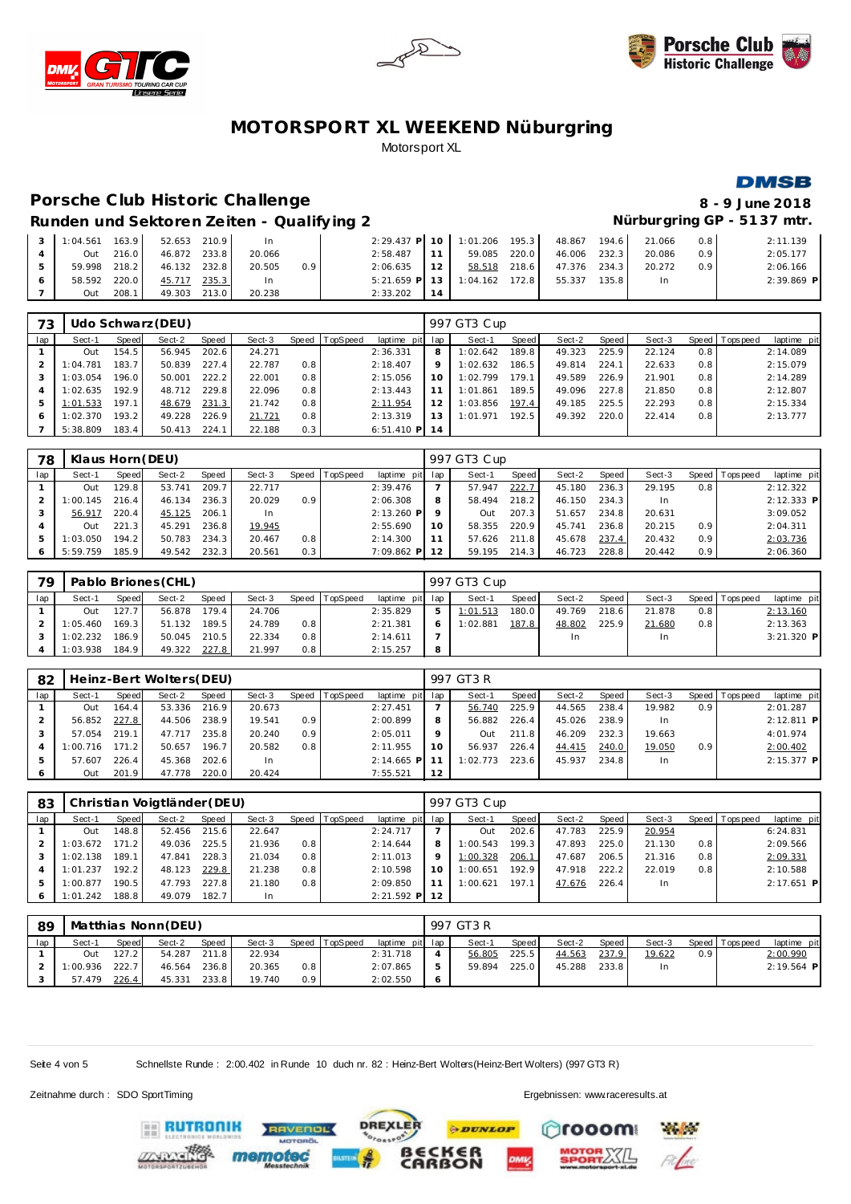





## Porsche Club Historic Challenge **8** - 9 June 2018

# **DMSB**

Runden und Sektoren Zeiten - Qualifying 2 **Nürburgring GP - 5137 mtr.** 

| 1:04.561     | 163.9 | 52.653 210.9 |       | In.    |     | $2:29.437$ P 10 |                 | 1:01.206 195.3   |       | 48.867 | 194.6 | 21.066 | 0.8              | 2:11.139   |
|--------------|-------|--------------|-------|--------|-----|-----------------|-----------------|------------------|-------|--------|-------|--------|------------------|------------|
| Out          | 216.0 | 46.872 233.8 |       | 20.066 |     | 2:58.487        | $11 -$          | 59.085           | 220.0 | 46.006 | 232.3 | 20.086 | 0.9              | 2:05.177   |
| 59.998 218.2 |       | 46.132 232.8 |       | 20.505 | 0.9 | 2:06.635        | 12 <sub>1</sub> | 58.518           | 218.6 | 47.376 | 234.3 | 20.272 | 0.9 <sub>1</sub> | 2:06.166   |
| 58.592 220.0 |       | 45.717       | 235.3 |        |     | $5:21.659$ P 13 |                 | $1:04.162$ 172.8 |       | 55.337 | 135.8 | In.    |                  | 2:39.869 P |
| Out          | 208.1 | 49.303       | 213.0 | 20.238 |     | 2:33.202        |                 |                  |       |        |       |        |                  |            |

| 73  |          |       | Udo Schwarz (DEU) |       |        |     |                  |                 |    | 997 GT3 Cup |       |        |       |        |     |                 |             |
|-----|----------|-------|-------------------|-------|--------|-----|------------------|-----------------|----|-------------|-------|--------|-------|--------|-----|-----------------|-------------|
| lap | Sect-1   | Speed | Sect-2            | Speed | Sect-3 |     | Speed   TopSpeed | laptime pit lap |    | Sect-1      | Speed | Sect-2 | Speed | Sect-3 |     | Speed Tops peed | laptime pit |
|     | Out      | 154.5 | 56.945            | 202.6 | 24.271 |     |                  | 2:36.331        | 8  | 1:02.642    | 189.8 | 49.323 | 225.9 | 22.124 | 0.8 |                 | 2:14.089    |
|     | 1:04.781 | 183.7 | 50.839            | 227.4 | 22.787 | 0.8 |                  | 2:18.407        | 9  | 1:02.632    | 186.5 | 49.814 | 224.1 | 22.633 | 0.8 |                 | 2:15.079    |
|     | 1:03.054 | 196.0 | 50.001            | 222.2 | 22.001 | 0.8 |                  | 2:15.056        | 10 | 1:02.799    | 179.1 | 49.589 | 226.9 | 21.901 | 0.8 |                 | 2:14.289    |
|     | 1:02.635 | 192.9 | 48.712            | 229.8 | 22.096 | 0.8 |                  | 2:13.443        |    | 1:01.861    | 189.5 | 49.096 | 227.8 | 21.850 | 0.8 |                 | 2:12.807    |
|     | 1:01.533 | 197.1 | 48.679            | 231.3 | 21.742 | 0.8 |                  | 2:11.954        | 12 | 1:03.856    | 197.4 | 49.185 | 225.5 | 22.293 | 0.8 |                 | 2:15.334    |
| 6   | 1:02.370 | 193.2 | 49.228            | 226.9 | 21.721 | 0.8 |                  | 2:13.319        | 13 | 1:01.971    | 192.5 | 49.392 | 220.0 | 22.414 | 0.8 |                 | 2:13.777    |
|     | 5:38.809 | 183.4 | 50.413            | 224.1 | 22.188 | 0.3 |                  | $6:51.410$ P 14 |    |             |       |        |       |        |     |                 |             |

| 78  | Klaus Horn (DEU) |       |        |              |        |       |                 |                 | 997 GT3 Cup |        |                    |        |       |           |     |                |             |  |
|-----|------------------|-------|--------|--------------|--------|-------|-----------------|-----------------|-------------|--------|--------------------|--------|-------|-----------|-----|----------------|-------------|--|
| lap | Sect-1           | Speed | Sect-2 | <b>Speed</b> | Sect-3 | Speed | <b>TopSpeed</b> | laptime pit lap |             | Sect-1 | Speed I            | Sect-2 | Speed | Sect-3    |     | Speed Topspeed | laptime pit |  |
|     | Out              | 129.8 | 53.741 | 209.7        | 22.717 |       |                 | 2:39.476        |             | 57.947 | 222.7              | 45.180 | 236.3 | 29.195    | 0.8 |                | 2:12.322    |  |
|     | 1:00.145         | 216.4 | 46.134 | 236.3        | 20.029 | 0.9   |                 | 2:06.308        | 8           | 58.494 | 218.2              | 46.150 | 234.3 | <b>In</b> |     |                | 2:12.333 P  |  |
|     | 56.917           | 220.4 | 45.125 | 206.1        | In     |       |                 | $2:13.260$ P    |             | Out    | 207.3              | 51.657 | 234.8 | 20.631    |     |                | 3:09.052    |  |
|     | Out              | 221.3 | 45.291 | 236.8        | 19.945 |       |                 | 2:55.690        | 10          | 58.355 | 220.9 <sub>1</sub> | 45.741 | 236.8 | 20.215    | 0.9 |                | 2:04.311    |  |
|     | 1:03.050         | 194.2 | 50.783 | 234.3        | 20.467 | 0.8   |                 | 2:14.300        |             | 57.626 | 211.8              | 45.678 | 237.4 | 20.432    | 0.9 |                | 2:03.736    |  |
|     | 5:59.759         | 185.9 | 49.542 | 232.3        | 20.561 | 0.3   |                 | $7:09.862$ P    |             | 59.195 | 214.3              | 46.723 | 228.8 | 20.442    | 0.9 |                | 2:06.360    |  |

| 79  |          |       | Pablo Briones (CHL) |       |        |       |                 |                 | 997 GT3 Cup |          |       |        |       |        |                  |                 |              |  |  |
|-----|----------|-------|---------------------|-------|--------|-------|-----------------|-----------------|-------------|----------|-------|--------|-------|--------|------------------|-----------------|--------------|--|--|
| lap | Sect-1   | Speed | Sect-2              | Speed | Sect-3 | Speed | <b>TopSpeed</b> | laptime pit lap |             | Sect-1   | Speed | Sect-2 | Speed | Sect-3 |                  | Speed Tops peed | laptime pit  |  |  |
|     | Out      | 127.7 | 56.878              | 179.4 | 24.706 |       |                 | 2:35.829        |             | 1:01.513 | 180.0 | 49.769 | 218.6 | 21.878 | 0.8              |                 | 2:13.160     |  |  |
|     | : 05.460 | 169.3 | 51.132              | 189.5 | 24.789 | 0.8   |                 | 2:21.381        |             | 1:02.881 | 187.8 | 48.802 | 225.9 | 21.680 | 0.8 <sub>1</sub> |                 | 2:13.363     |  |  |
|     | 1:02.232 | 186.9 | 50.045              | 210.5 | 22.334 | 0.8   |                 | 2:14.611        |             |          |       | -In    |       | In     |                  |                 | $3:21.320$ P |  |  |
|     | 1:03.938 | 184.9 | 49.322              | 227.8 | 21.997 | 0.8   |                 | 2:15.257        |             |          |       |        |       |        |                  |                 |              |  |  |

| 82  | Heinz-Bert Wolters(DEU) |       |        |       |        |       |          |                 | 997 GT3 R |          |         |        |       |        |                  |                |              |  |
|-----|-------------------------|-------|--------|-------|--------|-------|----------|-----------------|-----------|----------|---------|--------|-------|--------|------------------|----------------|--------------|--|
| lap | Sect-1                  | Speed | Sect-2 | Speed | Sect-3 | Speed | TopSpeed | laptime pit lap |           | Sect-1   | Speed I | Sect-2 | Speed | Sect-3 |                  | Speed Topspeed | laptime pit  |  |
|     | Out                     | 164.4 | 53.336 | 216.9 | 20.673 |       |          | 2:27.451        |           | 56.740   | 225.9   | 44.565 | 238.4 | 19.982 | 0.9 <sup>1</sup> |                | 2:01.287     |  |
|     | 56.852                  | 227.8 | 44.506 | 238.9 | 19.541 | 0.9   |          | 2:00.899        | 8         | 56.882   | 226.4   | 45.026 | 238.9 | In     |                  |                | $2:12.811$ P |  |
|     | 57.054                  | 219.1 | 47.717 | 235.8 | 20.240 | 0.9   |          | 2:05.011        |           | Out      | 211.8   | 46.209 | 232.3 | 19.663 |                  |                | 4:01.974     |  |
|     | 1:00.716                | 171.2 | 50.657 | 196.7 | 20.582 | 0.8   |          | 2:11.955        | 10        | 56.937   | 226.4   | 44.415 | 240.0 | 19.050 | 0.9 <sup>°</sup> |                | 2:00.402     |  |
|     | 57.607                  | 226.4 | 45.368 | 202.6 | In     |       |          | $2:14.665$ P    |           | 1:02.773 | 223.6   | 45.937 | 234.8 | In     |                  |                | $2:15.377$ P |  |
|     | Out                     | 201.9 | 47.778 | 220.0 | 20.424 |       |          | 7:55.521        | 12        |          |         |        |       |        |                  |                |              |  |

| 83  | Christian Voigtländer (DEU)                                                       |       |        |       |        |     |  |                 |         | 997 GT3 Cup |       |        |       |        |                  |                |              |  |  |  |
|-----|-----------------------------------------------------------------------------------|-------|--------|-------|--------|-----|--|-----------------|---------|-------------|-------|--------|-------|--------|------------------|----------------|--------------|--|--|--|
| lap | Speed TopSpeed<br>laptime pit lap<br>Sect-2<br>Sect-3<br>Sect-1<br>Speed<br>Speed |       |        |       |        |     |  |                 |         | Sect-1      | Speed | Sect-2 | Speed | Sect-3 |                  | Speed Topspeed | laptime pit  |  |  |  |
|     | Out                                                                               | 148.8 | 52.456 | 215.6 | 22.647 |     |  | 2:24.717        |         | <b>Out</b>  | 202.6 | 47.783 | 225.9 | 20.954 |                  |                | 6:24.831     |  |  |  |
|     | : 03.672                                                                          | 171.2 | 49.036 | 225.5 | 21.936 | 0.8 |  | 2:14.644        | 8       | 1:00.543    | 199.3 | 47.893 | 225.0 | 21.130 | 0.8              |                | 2:09.566     |  |  |  |
|     | : 02.138                                                                          | 189.1 | 47.841 | 228.3 | 21.034 | 0.8 |  | 2:11.013        | $\circ$ | 1:00.328    | 206.1 | 47.687 | 206.5 | 21.316 | 0.8 <sub>1</sub> |                | 2:09.331     |  |  |  |
|     | 1:01.237                                                                          | 192.2 | 48.123 | 229.8 | 21.238 | 0.8 |  | 2:10.598        | 1 O     | 1:00.651    | 192.9 | 47.918 | 222.2 | 22.019 | 0.8              |                | 2:10.588     |  |  |  |
| 5   | : 00.877                                                                          | 190.5 | 47.793 | 227.8 | 21.180 | 0.8 |  | 2:09.850        |         | 1:00.621    | 197.1 | 47.676 | 226.4 | In.    |                  |                | $2:17.651$ P |  |  |  |
| 6   | 1:01.242                                                                          | 188.8 | 49.079 | 182.7 | In.    |     |  | $2:21.592$ P 12 |         |             |       |        |       |        |                  |                |              |  |  |  |

| 89  |          |       | Matthias Nonn (DEU) |       |        |                  |                |                 | 997 GT3 R |        |              |        |       |        |                  |                 |             |  |
|-----|----------|-------|---------------------|-------|--------|------------------|----------------|-----------------|-----------|--------|--------------|--------|-------|--------|------------------|-----------------|-------------|--|
| lap | Sect-1   | Speed | Sect-2              | Speed | Sect-3 |                  | Speed TopSpeed | laptime pit lap |           | Sect-1 | <b>Speed</b> | Sect-2 | Speed | Sect-3 |                  | Speed Tops peed | laptime pit |  |
|     | Out      | 127.2 | 54.287              | 211.8 | 22.934 |                  |                | 2:31.718        |           | 56.805 | 225.5        | 44.563 | 237.9 | 19.622 | 0.9 <sup>°</sup> |                 | 2:00.990    |  |
|     | 1:00.936 | 222.7 | 46.564              | 236.8 | 20.365 | 0.8              |                | 2:07.865        | 5         | 59.894 | 225.0        | 45.288 | 233.8 | In.    |                  |                 | 2:19.564 P  |  |
|     | 57.479   | 226.4 | 45.331              | 233.8 | 19.740 | 0.9 <sup>°</sup> |                | 2:02.550        | O         |        |              |        |       |        |                  |                 |             |  |

Seite 4 von 5 Schnellste Runde : 2:00.402 in Runde 10 duch nr. 82 : Heinz-Bert Wolters(Heinz-Bert Wolters) (997 GT3 R)